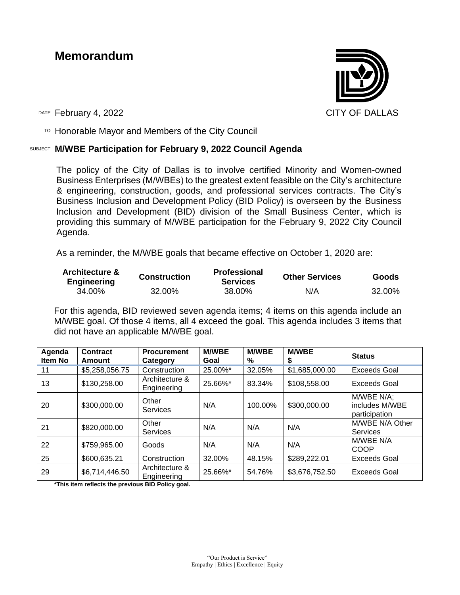## **Memorandum**



DATE February 4, 2022 2008 CITY OF DALLAS

 $T$ <sup>O</sup> Honorable Mayor and Members of the City Council

## SUBJECT **M/WBE Participation for February 9, 2022 Council Agenda**

The policy of the City of Dallas is to involve certified Minority and Women-owned Business Enterprises (M/WBEs) to the greatest extent feasible on the City's architecture & engineering, construction, goods, and professional services contracts. The City's Business Inclusion and Development Policy (BID Policy) is overseen by the Business Inclusion and Development (BID) division of the Small Business Center, which is providing this summary of M/WBE participation for the February 9, 2022 City Council Agenda.

As a reminder, the M/WBE goals that became effective on October 1, 2020 are:

| <b>Architecture &amp;</b><br><b>Engineering</b> | <b>Construction</b> | <b>Professional</b><br><b>Services</b> | <b>Other Services</b> | <b>Goods</b> |  |
|-------------------------------------------------|---------------------|----------------------------------------|-----------------------|--------------|--|
| 34.00%                                          | 32.00%              | 38.00%                                 | N/A                   | 32.00%       |  |

For this agenda, BID reviewed seven agenda items; 4 items on this agenda include an M/WBE goal. Of those 4 items, all 4 exceed the goal. This agenda includes 3 items that did not have an applicable M/WBE goal.

| Agenda<br>Item No | <b>Contract</b><br>Amount | <b>Procurement</b><br>Category | <b>M/WBE</b><br>Goal | <b>M/WBE</b><br>% | <b>M/WBE</b><br>\$ | <b>Status</b>                                 |
|-------------------|---------------------------|--------------------------------|----------------------|-------------------|--------------------|-----------------------------------------------|
| 11                | \$5,258,056.75            | Construction                   | 25.00%*              | 32.05%            | \$1,685,000.00     | <b>Exceeds Goal</b>                           |
| 13                | \$130,258.00              | Architecture &<br>Engineering  | 25.66%*              | 83.34%            | \$108,558.00       | <b>Exceeds Goal</b>                           |
| 20                | \$300,000.00              | Other<br>Services              | N/A                  | 100.00%           | \$300,000.00       | M/WBE N/A;<br>includes M/WBE<br>participation |
| 21                | \$820,000.00              | Other<br><b>Services</b>       | N/A                  | N/A               | N/A                | M/WBE N/A Other<br><b>Services</b>            |
| 22                | \$759,965.00              | Goods                          | N/A                  | N/A               | N/A                | M/WBE N/A<br><b>COOP</b>                      |
| 25                | \$600,635.21              | Construction                   | 32.00%               | 48.15%            | \$289,222.01       | Exceeds Goal                                  |
| 29                | \$6,714,446.50            | Architecture &<br>Engineering  | 25.66%*              | 54.76%            | \$3,676,752.50     | <b>Exceeds Goal</b>                           |

**\*This item reflects the previous BID Policy goal.**